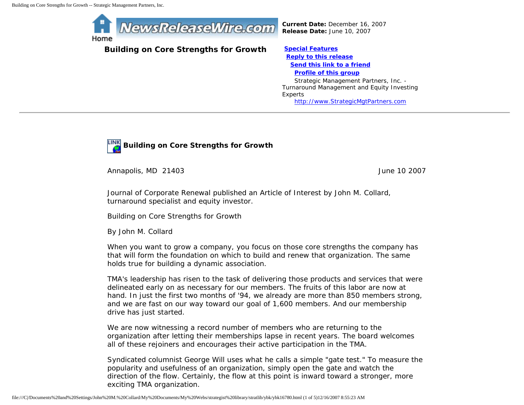

**Building on Core Strengths for Growth [Special Features](javascript:openlittleme()**

*Current Date:* December 16, 2007 *Release Date:* June 10, 2007

 **[Reply to this release](file:///C|/Documents%20and%20Settings/John%20M.%20Collard/My%20Documents/My%20Webs/strategist%20library/stratlib/ybk/default.cfm?Action=ReplyRelease&Id=16780) [Send this link to a friend](file:///C|/Documents%20and%20Settings/John%20M.%20Collard/My%20Documents/My%20Webs/strategist%20library/stratlib/ybk/default.cfm?Action=SendLink&SendId=16780) [Profile of this group](file:///C|/Documents%20and%20Settings/John%20M.%20Collard/My%20Documents/My%20Webs/strategist%20library/stratlib/ybk/default.cfm?Action=Profile&ProfileId=623)** Strategic Management Partners, Inc. - Turnaround Management and Equity Investing

Experts [http://www.StrategicMgtPartners.com](http://www.strategicmgtpartners.com/)



Annapolis, MD 21403 **June 10 2007** 

Journal of Corporate Renewal published an Article of Interest by John M. Collard, turnaround specialist and equity investor.

Building on Core Strengths for Growth

By John M. Collard

When you want to grow a company, you focus on those core strengths the company has that will form the foundation on which to build and renew that organization. The same holds true for building a dynamic association.

TMA's leadership has risen to the task of delivering those products and services that were delineated early on as necessary for our members. The fruits of this labor are now at hand. In just the first two months of '94, we already are more than 850 members strong, and we are fast on our way toward our goal of 1,600 members. And our membership drive has just started.

We are now witnessing a record number of members who are returning to the organization after letting their memberships lapse in recent years. The board welcomes all of these rejoiners and encourages their active participation in the TMA.

Syndicated columnist George Will uses what he calls a simple "gate test." To measure the popularity and usefulness of an organization, simply open the gate and watch the direction of the flow. Certainly, the flow at this point is inward toward a stronger, more exciting TMA organization.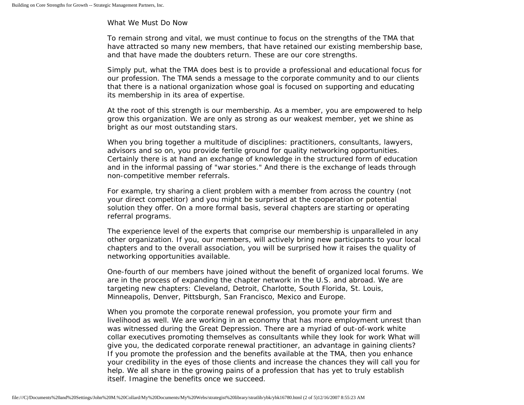## What We Must Do Now

To remain strong and vital, we must continue to focus on the strengths of the TMA that have attracted so many new members, that have retained our existing membership base, and that have made the doubters return. These are our core strengths.

Simply put, what the TMA does best is to provide a professional and educational focus for our profession. The TMA sends a message to the corporate community and to our clients that there is a national organization whose goal is focused on supporting and educating its membership in its area of expertise.

At the root of this strength is our membership. As a member, you are empowered to help grow this organization. We are only as strong as our weakest member, yet we shine as bright as our most outstanding stars.

When you bring together a multitude of disciplines: practitioners, consultants, lawyers, advisors and so on, you provide fertile ground for quality networking opportunities. Certainly there is at hand an exchange of knowledge in the structured form of education and in the informal passing of "war stories." And there is the exchange of leads through non-competitive member referrals.

For example, try sharing a client problem with a member from across the country (not your direct competitor) and you might be surprised at the cooperation or potential solution they offer. On a more formal basis, several chapters are starting or operating referral programs.

The experience level of the experts that comprise our membership is unparalleled in any other organization. If you, our members, will actively bring new participants to your local chapters and to the overall association, you will be surprised how it raises the quality of networking opportunities available.

One-fourth of our members have joined without the benefit of organized local forums. We are in the process of expanding the chapter network in the U.S. and abroad. We are targeting new chapters: Cleveland, Detroit, Charlotte, South Florida, St. Louis, Minneapolis, Denver, Pittsburgh, San Francisco, Mexico and Europe.

When you promote the corporate renewal profession, you promote your firm and livelihood as well. We are working in an economy that has more employment unrest than was witnessed during the Great Depression. There are a myriad of out-of-work white collar executives promoting themselves as consultants while they look for work What will give you, the dedicated corporate renewal practitioner, an advantage in gaining clients? If you promote the profession and the benefits available at the TMA, then you enhance your credibility in the eyes of those clients and increase the chances they will call you for help. We all share in the growing pains of a profession that has yet to truly establish itself. Imagine the benefits once we succeed.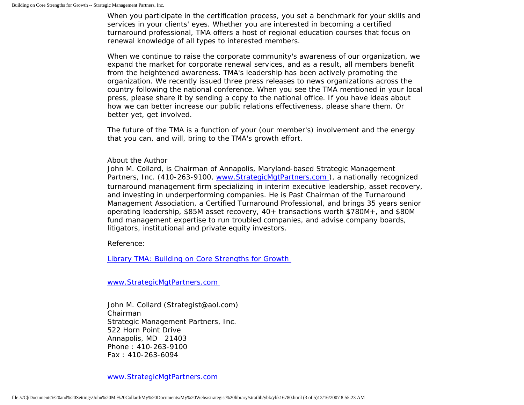When you participate in the certification process, you set a benchmark for your skills and services in your clients' eyes. Whether you are interested in becoming a certified turnaround professional, TMA offers a host of regional education courses that focus on renewal knowledge of all types to interested members.

When we continue to raise the corporate community's awareness of our organization, we expand the market for corporate renewal services, and as a result, all members benefit from the heightened awareness. TMA's leadership has been actively promoting the organization. We recently issued three press releases to news organizations across the country following the national conference. When you see the TMA mentioned in your local press, please share it by sending a copy to the national office. If you have ideas about how we can better increase our public relations effectiveness, please share them. Or better yet, get involved.

The future of the TMA is a function of your (our member's) involvement and the energy that you can, and will, bring to the TMA's growth effort.

## About the Author

John M. Collard, is Chairman of Annapolis, Maryland-based Strategic Management Partners, Inc. (410-263-9100, [www.StrategicMgtPartners.com](http://www.strategicmgtpartners.com/) ), a nationally recognized turnaround management firm specializing in interim executive leadership, asset recovery, and investing in underperforming companies. He is Past Chairman of the Turnaround Management Association, a Certified Turnaround Professional, and brings 35 years senior operating leadership, \$85M asset recovery, 40+ transactions worth \$780M+, and \$80M fund management expertise to run troubled companies, and advise company boards, litigators, institutional and private equity investors.

Reference:

[Library TMA: Building on Core Strengths for Growth](http://www.turnaround.org/news/letter.asp?objectID=2685) 

[www.StrategicMgtPartners.com](http://www.strategicmgtpartners.com/)

John M. Collard (Strategist@aol.com) Chairman Strategic Management Partners, Inc. 522 Horn Point Drive Annapolis, MD 21403 Phone : 410-263-9100 Fax : 410-263-6094

[www.StrategicMgtPartners.com](http://www.strategicmgtpartners.com/)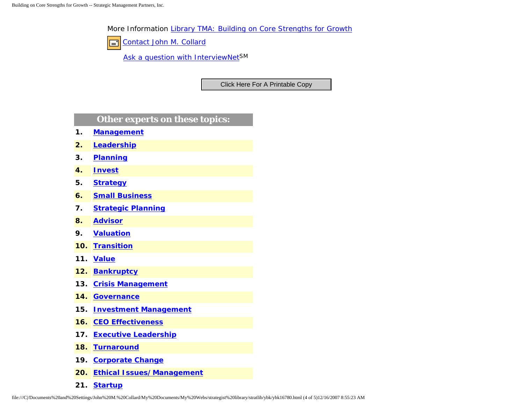More Information [Library TMA: Building on Core Strengths for Growth](http://www.turnaround.org/news/letter.asp?objectID=2685)

[Contact John M. Collard](http://www.expertclick.com/expertClick/contact/default.cfm?Action=ContactExpert&GroupID=1016)  $\Box$ 

[Ask a question with InterviewNetS](http://www.expertclick.com/expertClick/contact/default.cfm?GroupID=1016)M

## **Other experts on these topics:**

- **1. [Management](http://www.expertclick.com/search/default.cfm?SearchCriteria=Management)**
- **2. [Leadership](http://www.expertclick.com/search/default.cfm?SearchCriteria=Leadership)**
- **3. [Planning](http://www.expertclick.com/search/default.cfm?SearchCriteria=Planning)**
- **4. [Invest](http://www.expertclick.com/search/default.cfm?SearchCriteria=Invest)**
- **5. [Strategy](http://www.expertclick.com/search/default.cfm?SearchCriteria=Strategy)**
- **6. [Small Business](http://www.expertclick.com/search/default.cfm?SearchCriteria=Small Business)**
- **7. [Strategic Planning](http://www.expertclick.com/search/default.cfm?SearchCriteria=Strategic Planning)**
- **8. [Advisor](http://www.expertclick.com/search/default.cfm?SearchCriteria=Advisor)**
- **9. [Valuation](http://www.expertclick.com/search/default.cfm?SearchCriteria=Valuation)**
- **10. [Transition](http://www.expertclick.com/search/default.cfm?SearchCriteria=Transition)**
- **11. [Value](http://www.expertclick.com/search/default.cfm?SearchCriteria=Value)**
- **12. [Bankruptcy](http://www.expertclick.com/search/default.cfm?SearchCriteria=Bankruptcy)**
- **13. [Crisis Management](http://www.expertclick.com/search/default.cfm?SearchCriteria=Crisis Management)**
- **14. [Governance](http://www.expertclick.com/search/default.cfm?SearchCriteria=Governance)**
- **15. [Investment Management](http://www.expertclick.com/search/default.cfm?SearchCriteria=Investment Management)**
- **16. [CEO Effectiveness](http://www.expertclick.com/search/default.cfm?SearchCriteria=CEO Effectiveness)**
- **17. [Executive Leadership](http://www.expertclick.com/search/default.cfm?SearchCriteria=Executive Leadership)**
- **18. [Turnaround](http://www.expertclick.com/search/default.cfm?SearchCriteria=Turnaround)**
- **19. [Corporate Change](http://www.expertclick.com/search/default.cfm?SearchCriteria=Corporate Change)**
- **20. [Ethical Issues/Management](http://www.expertclick.com/search/default.cfm?SearchCriteria=Ethical Issues/Management)**
- **21. [Startup](http://www.expertclick.com/search/default.cfm?SearchCriteria=Startup)**